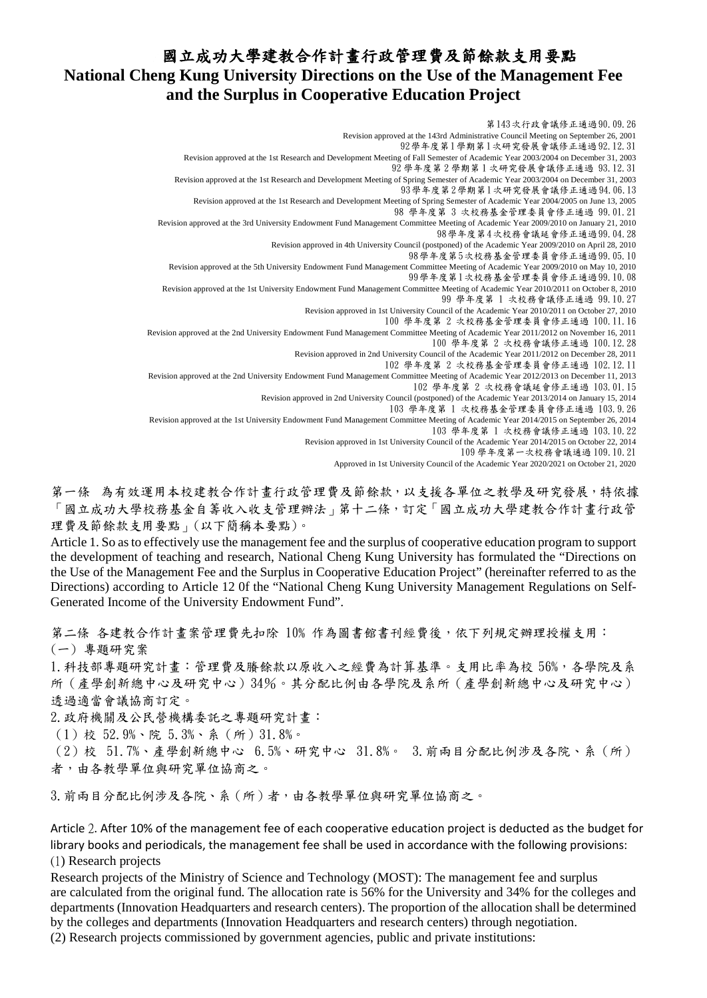## 國立成功大學建教合作計畫行政管理費及節餘款支用要點 **National Cheng Kung University Directions on the Use of the Management Fee and the Surplus in Cooperative Education Project**

第143次行政會議修正通過90.09.26 Revision approved at the 143rd Administrative Council Meeting on September 26, 2001 92學年度第1學期第1次研究發展會議修正通過92.12.31 Revision approved at the 1st Research and Development Meeting of Fall Semester of Academic Year 2003/2004 on December 31, 2003 92 學年度第 2 學期第 1 次研究發展會議修正通過 93.12.31 Revision approved at the 1st Research and Development Meeting of Spring Semester of Academic Year 2003/2004 on December 31, 2003 93學年度第2學期第1次研究發展會議修正通過94.06.13 Revision approved at the 1st Research and Development Meeting of Spring Semester of Academic Year 2004/2005 on June 13, 2005 98 學年度第 3 次校務基金管理委員會修正通過 99.01.21 Revision approved at the 3rd University Endowment Fund Management Committee Meeting of Academic Year 2009/2010 on January 21, 2010 98學年度第4次校務會議延會修正通過99.04.28 Revision approved in 4th University Council (postponed) of the Academic Year 2009/2010 on April 28, 2010 98學年度第5次校務基金管理委員會修正通過99.05.10 Revision approved at the 5th University Endowment Fund Management Committee Meeting of Academic Year 2009/2010 on May 10, 2010 99學年度第1次校務基金管理委員會修正通過99.10.08 Revision approved at the 1st University Endowment Fund Management Committee Meeting of Academic Year 2010/2011 on October 8, 2010 99 學年度第 1 次校務會議修正通過 99.10.27 Revision approved in 1st University Council of the Academic Year 2010/2011 on October 27, 2010 100 學年度第 2 次校務基金管理委員會修正通過 100.11.16 Revision approved at the 2nd University Endowment Fund Management Committee Meeting of Academic Year 2011/2012 on November 16, 2011 100 學年度第 2 次校務會議修正通過 100.12.28 Revision approved in 2nd University Council of the Academic Year 2011/2012 on December 28, 2011 102 學年度第 2 次校務基金管理委員會修正通過 102.12.11 Revision approved at the 2nd University Endowment Fund Management Committee Meeting of Academic Year 2012/2013 on December 11, 2013 102 學年度第 2 次校務會議延會修正通過 103.01.15 Revision approved in 2nd University Council (postponed) of the Academic Year 2013/2014 on January 15, 2014 103 學年度第 1 次校務基金管理委員會修正通過 103.9.26 Revision approved at the 1st University Endowment Fund Management Committee Meeting of Academic Year 2014/2015 on September 26, 2014 103 學年度第 1 次校務會議修正通過 103.10.22

Revision approved in 1st University Council of the Academic Year 2014/2015 on October 22, 2014

109 學年度第一次校務會議通過 109.10.21

Approved in 1st University Council of the Academic Year 2020/2021 on October 21, 2020

第一條 為有效運用本校建教合作計畫行政管理費及節餘款,以支援各單位之教學及研究發展,特依據 「國立成功大學校務基金自籌收入收支管理辦法」第十二條,訂定「國立成功大學建教合作計畫行政管 理費及節餘款支用要點」(以下簡稱本要點)。

Article 1. So asto effectively use the management fee and the surplus of cooperative education program to support the development of teaching and research, National Cheng Kung University has formulated the "Directions on the Use of the Management Fee and the Surplus in Cooperative Education Project" (hereinafter referred to as the Directions) according to Article 12 0f the "National Cheng Kung University Management Regulations on Self-Generated Income of the University Endowment Fund".

第二條 各建教合作計畫案管理費先扣除 10% 作為圖書館書刊經費後,依下列規定辦理授權支用: (一) 專題研究案

1. 科技部專題研究計畫:管理費及騰餘款以原收入之經費為計算基準。支用比率為校 56%,各學院及系 所(產學創新總中心及研究中心)34%。其分配比例由各學院及系所(產學創新總中心及研究中心) 透過適當會議協商訂定。

2.政府機關及公民營機構委託之專題研究計畫:

(1)校 52.9%、院 5.3%、系(所)31.8%。

(2)校 51.7%、產學創新總中心 6.5%、研究中心 31.8%。 3.前兩目分配比例涉及各院、系(所) 者,由各教學單位與研究單位協商之。

3. 前兩目分配比例涉及各院、系(所)者,由各教學單位與研究單位協商之。

Article 2. After 10% of the management fee of each cooperative education project is deducted as the budget for library books and periodicals, the management fee shall be used in accordance with the following provisions: (1) Research projects

Research projects of the Ministry of Science and Technology (MOST): The management fee and surplus are calculated from the original fund. The allocation rate is 56% for the University and 34% for the colleges and departments (Innovation Headquarters and research centers). The proportion of the allocation shall be determined by the colleges and departments (Innovation Headquarters and research centers) through negotiation.

(2) Research projects commissioned by government agencies, public and private institutions: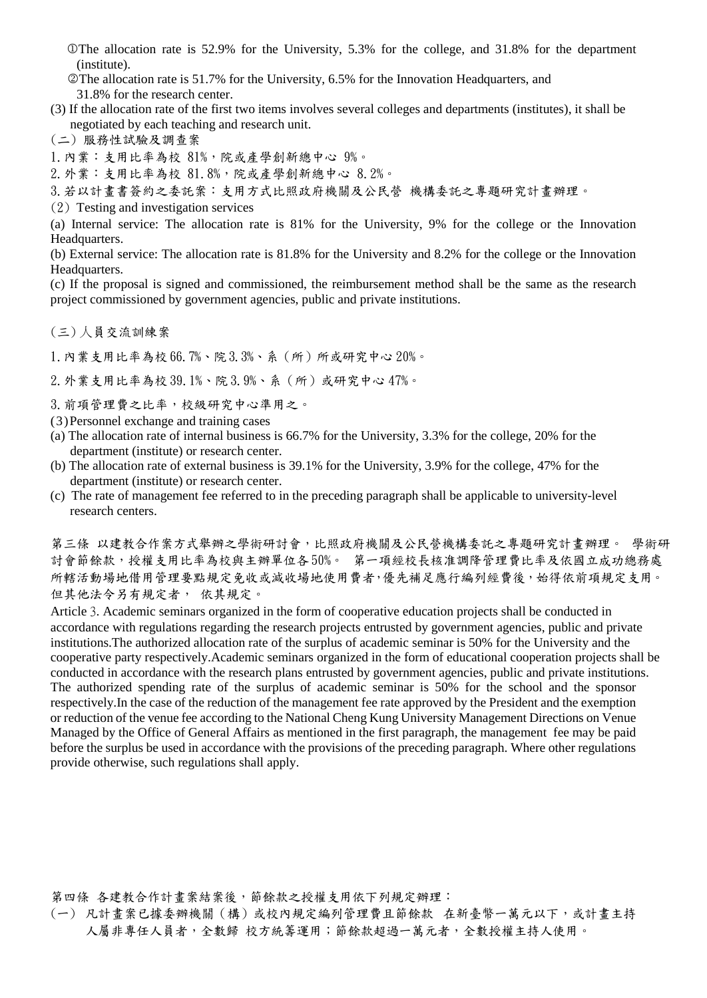The allocation rate is 52.9% for the University, 5.3% for the college, and 31.8% for the department (institute).

The allocation rate is 51.7% for the University, 6.5% for the Innovation Headquarters, and 31.8% for the research center.

(3) If the allocation rate of the first two items involves several colleges and departments (institutes), it shall be negotiated by each teaching and research unit.

(二) 服務性試驗及調查案

1. 內業:支用比率為校 81%,院或產學創新總中心 9%。

2.外業:支用比率為校 81.8%,院或產學創新總中心 8.2%。

3.若以計畫書簽約之委託案:支用方式比照政府機關及公民營 機構委託之專題研究計畫辦理。

(2) Testing and investigation services

(a) Internal service: The allocation rate is 81% for the University, 9% for the college or the Innovation Headquarters.

(b) External service: The allocation rate is 81.8% for the University and 8.2% for the college or the Innovation Headquarters.

(c) If the proposal is signed and commissioned, the reimbursement method shall be the same as the research project commissioned by government agencies, public and private institutions.

(三) 人員交流訓練案

1.內業支用比率為校 66.7%、院3.3%、系(所)所或研究中心 20%。

2.外業支用比率為校 39.1%、院 3.9%、系(所)或研究中心 47%。

3.前項管理費之比率,校級研究中心準用之。

(3)Personnel exchange and training cases

- (a) The allocation rate of internal business is 66.7% for the University, 3.3% for the college, 20% for the department (institute) or research center.
- (b) The allocation rate of external business is 39.1% for the University, 3.9% for the college, 47% for the department (institute) or research center.
- (c) The rate of management fee referred to in the preceding paragraph shall be applicable to university-level research centers.

第三條 以建教合作案方式舉辦之學術研討會,比照政府機關及公民營機構委託之專題研究計畫辦理。 學術研 討會節餘款,授權支用比率為校與主辦單位各50%。 第一項經校長核准調降管理費比率及依國立成功總務處 所轄活動場地借用管理要點規定免收或減收場地使用費者,優先補足應行編列經費後,始得依前項規定支用。 但其他法令另有規定者, 依其規定。

Article 3. Academic seminars organized in the form of cooperative education projects shall be conducted in accordance with regulations regarding the research projects entrusted by government agencies, public and private institutions.The authorized allocation rate of the surplus of academic seminar is 50% for the University and the cooperative party respectively.Academic seminars organized in the form of educational cooperation projects shall be conducted in accordance with the research plans entrusted by government agencies, public and private institutions. The authorized spending rate of the surplus of academic seminar is 50% for the school and the sponsor respectively.In the case of the reduction of the management fee rate approved by the President and the exemption or reduction of the venue fee according to the National Cheng Kung University Management Directions on Venue Managed by the Office of General Affairs as mentioned in the first paragraph, the management fee may be paid before the surplus be used in accordance with the provisions of the preceding paragraph. Where other regulations provide otherwise, such regulations shall apply.

第四條 各建教合作計畫案結案後,節餘款之授權支用依下列規定辦理:

(一) 凡計畫案已據委辦機關(構)或校內規定編列管理費且節餘款 在新臺幣一萬元以下,或計畫主持 人屬非專任人員者,全數歸 校方統籌運用;節餘款超過一萬元者,全數授權主持人使用。